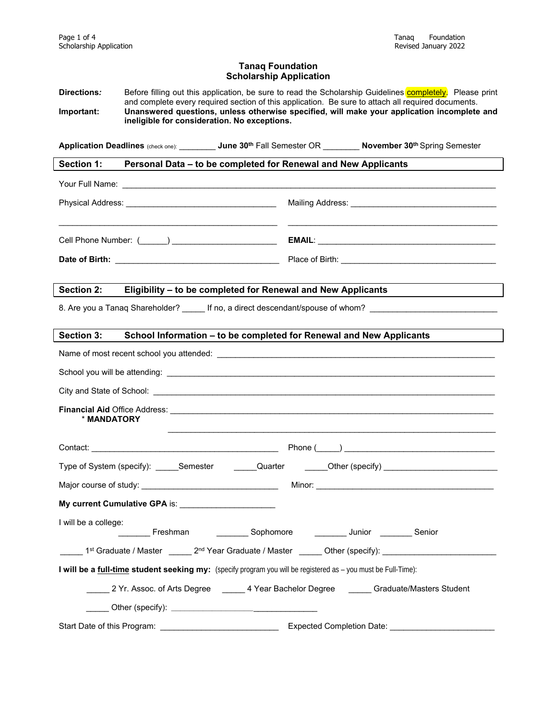#### **Tanaq Foundation Scholarship Application**

Directions: Before filling out this application, be sure to read the Scholarship Guidelines completely. Please print and complete every required section of this application. Be sure to attach all required documents. **Important: Unanswered questions, unless otherwise specified, will make your application incomplete and ineligible for consideration. No exceptions.**

**Application Deadlines** (check one): \_\_\_\_\_\_\_\_ **June 30th** Fall Semester OR \_\_\_\_\_\_\_\_ **November 30th** Spring Semester

**Section 1: Personal Data – to be completed for Renewal and New Applicants** 

| Cell Phone Number: ( ) |  |
|------------------------|--|
|                        |  |

#### **Section 2: Eligibility – to be completed for Renewal and New Applicants**

8. Are you a Tanaq Shareholder? \_\_\_\_\_\_ If no, a direct descendant/spouse of whom? \_\_

| School Information - to be completed for Renewal and New Applicants<br>Section 3:                                                    |
|--------------------------------------------------------------------------------------------------------------------------------------|
|                                                                                                                                      |
|                                                                                                                                      |
|                                                                                                                                      |
| * MANDATORY                                                                                                                          |
|                                                                                                                                      |
| Type of System (specify): ______Semester ________Quarter _______Other (specify) _____________________________                        |
|                                                                                                                                      |
| My current Cumulative GPA is: ________________________                                                                               |
| I will be a college:<br>Looking Sophomore Community Charles Channel Senior                                                           |
| _____ 1 <sup>st</sup> Graduate / Master ______ 2 <sup>nd</sup> Year Graduate / Master ______ Other (specify): ______________________ |
| I will be a full-time student seeking my: (specify program you will be registered as - you must be Full-Time):                       |
| 2 Yr. Assoc. of Arts Degree _______ 4 Year Bachelor Degree _______ Graduate/Masters Student                                          |
|                                                                                                                                      |
|                                                                                                                                      |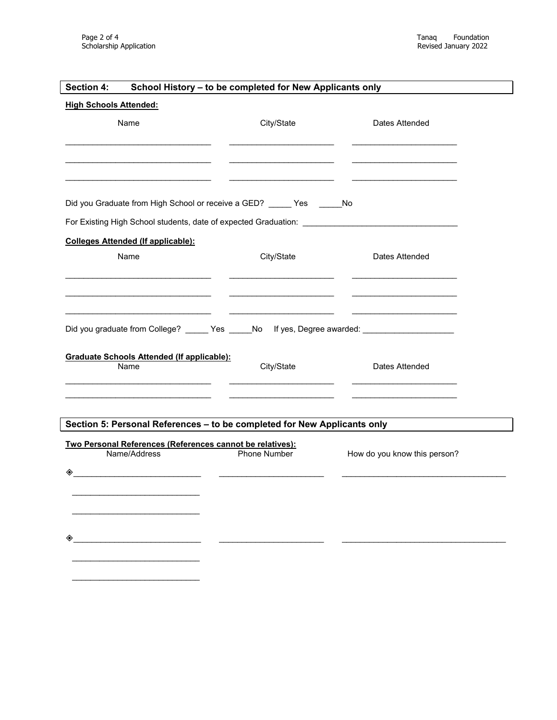| Section 4:                                                                                          | School History - to be completed for New Applicants only |                              |
|-----------------------------------------------------------------------------------------------------|----------------------------------------------------------|------------------------------|
| <b>High Schools Attended:</b>                                                                       |                                                          |                              |
| Name                                                                                                | City/State                                               | Dates Attended               |
|                                                                                                     |                                                          |                              |
|                                                                                                     |                                                          |                              |
|                                                                                                     |                                                          |                              |
| Did you Graduate from High School or receive a GED? _____ Yes ______ No                             |                                                          |                              |
| For Existing High School students, date of expected Graduation: ___________________________________ |                                                          |                              |
| <b>Colleges Attended (If applicable):</b>                                                           |                                                          |                              |
| Name                                                                                                | City/State                                               | Dates Attended               |
|                                                                                                     |                                                          |                              |
|                                                                                                     |                                                          |                              |
|                                                                                                     |                                                          |                              |
| Did you graduate from College? ______ Yes _____No lf yes, Degree awarded: ____________________      |                                                          |                              |
| <b>Graduate Schools Attended (If applicable):</b>                                                   |                                                          |                              |
| Name                                                                                                | City/State                                               | Dates Attended               |
|                                                                                                     |                                                          |                              |
|                                                                                                     |                                                          |                              |
| Section 5: Personal References - to be completed for New Applicants only                            |                                                          |                              |
| Two Personal References (References cannot be relatives):<br>Name/Address                           | Phone Number                                             | How do you know this person? |
| ◈                                                                                                   |                                                          |                              |
| <u> 1989 - Johann Harry Barn, mars ar brezhon e</u>                                                 |                                                          |                              |
|                                                                                                     |                                                          |                              |
|                                                                                                     |                                                          |                              |
|                                                                                                     |                                                          |                              |
|                                                                                                     |                                                          |                              |
|                                                                                                     |                                                          |                              |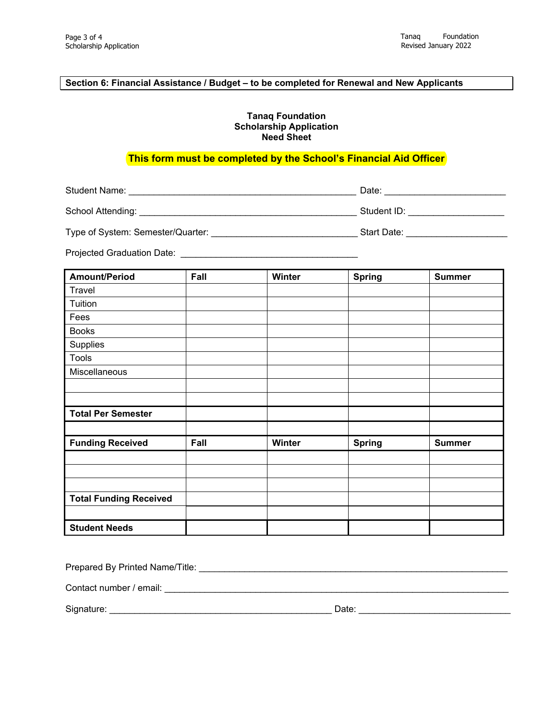# **Section 6: Financial Assistance / Budget – to be completed for Renewal and New Applicants**

### **Tanaq Foundation Scholarship Application Need Sheet**

## **This form must be completed by the School's Financial Aid Officer**

Student Name: \_\_\_\_\_\_\_\_\_\_\_\_\_\_\_\_\_\_\_\_\_\_\_\_\_\_\_\_\_\_\_\_\_\_\_\_\_\_\_\_\_\_\_\_\_ Date: \_\_\_\_\_\_\_\_\_\_\_\_\_\_\_\_\_\_\_\_\_\_\_\_

| School Attending: | Student ID: |  |
|-------------------|-------------|--|
|                   |             |  |

| Type of System: Semester/Quarter: |  | Start Date: |  |
|-----------------------------------|--|-------------|--|
|-----------------------------------|--|-------------|--|

Projected Graduation Date: \_\_\_\_\_\_\_\_\_\_\_\_\_\_\_\_\_\_\_\_\_\_\_\_\_\_\_\_\_\_\_\_\_\_\_

| <b>Amount/Period</b>          | Fall | Winter | <b>Spring</b> | <b>Summer</b> |
|-------------------------------|------|--------|---------------|---------------|
| Travel                        |      |        |               |               |
| Tuition                       |      |        |               |               |
| Fees                          |      |        |               |               |
| <b>Books</b>                  |      |        |               |               |
| Supplies                      |      |        |               |               |
| <b>Tools</b>                  |      |        |               |               |
| Miscellaneous                 |      |        |               |               |
|                               |      |        |               |               |
|                               |      |        |               |               |
| <b>Total Per Semester</b>     |      |        |               |               |
|                               |      |        |               |               |
| <b>Funding Received</b>       | Fall | Winter | <b>Spring</b> | <b>Summer</b> |
|                               |      |        |               |               |
|                               |      |        |               |               |
|                               |      |        |               |               |
| <b>Total Funding Received</b> |      |        |               |               |
|                               |      |        |               |               |
| <b>Student Needs</b>          |      |        |               |               |

| Prepared By Printed Name/Title: |       |  |
|---------------------------------|-------|--|
| Contact number / email:         |       |  |
| Signature:                      | Date: |  |